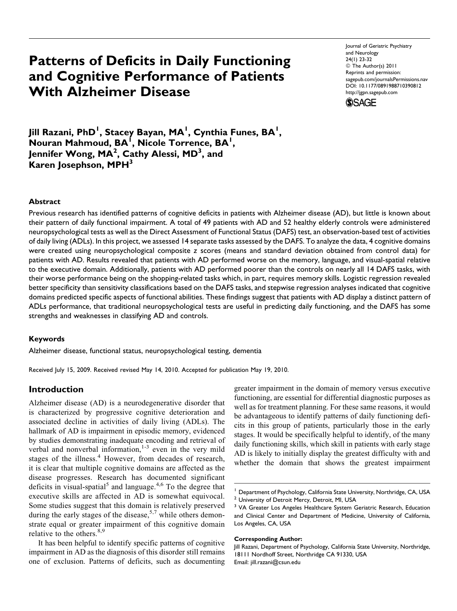# Patterns of Deficits in Daily Functioning and Cognitive Performance of Patients With Alzheimer Disease

Journal of Geriatric Psychiatry and Neurology 24(1) 23-32 © The Author(s) 2011 Reprints and permission: sagepub.com/journalsPermissions.nav DOI: 10.1177/0891988710390812 http://jgpn.sagepub.com



Jill Razani, PhD<sup>I</sup>, Stacey Bayan, MA<sup>I</sup>, Cynthia Funes, BA<sup>I</sup>, Nouran Mahmoud, BA<sup>i</sup>, Nicole Torrence, BA<sup>I</sup>, Jennifer Wong, MA $^{\rm 2}$ , Cathy Alessi, MD $^{\rm 3}$ , and Karen Josephson,  $MPH<sup>3</sup>$ 

## Abstract

Previous research has identified patterns of cognitive deficits in patients with Alzheimer disease (AD), but little is known about their pattern of daily functional impairment. A total of 49 patients with AD and 52 healthy elderly controls were administered neuropsychological tests as well as the Direct Assessment of Functional Status (DAFS) test, an observation-based test of activities of daily living (ADLs). In this project, we assessed 14 separate tasks assessed by the DAFS. To analyze the data, 4 cognitive domains were created using neuropsychological composite z scores (means and standard deviation obtained from control data) for patients with AD. Results revealed that patients with AD performed worse on the memory, language, and visual-spatial relative to the executive domain. Additionally, patients with AD performed poorer than the controls on nearly all 14 DAFS tasks, with their worse performance being on the shopping-related tasks which, in part, requires memory skills. Logistic regression revealed better specificity than sensitivity classifications based on the DAFS tasks, and stepwise regression analyses indicated that cognitive domains predicted specific aspects of functional abilities. These findings suggest that patients with AD display a distinct pattern of ADLs performance, that traditional neuropsychological tests are useful in predicting daily functioning, and the DAFS has some strengths and weaknesses in classifying AD and controls.

#### Keywords

Alzheimer disease, functional status, neuropsychological testing, dementia

Received July 15, 2009. Received revised May 14, 2010. Accepted for publication May 19, 2010.

# Introduction

Alzheimer disease (AD) is a neurodegenerative disorder that is characterized by progressive cognitive deterioration and associated decline in activities of daily living (ADLs). The hallmark of AD is impairment in episodic memory, evidenced by studies demonstrating inadequate encoding and retrieval of verbal and nonverbal information, $1-3$  even in the very mild stages of the illness.<sup>4</sup> However, from decades of research, it is clear that multiple cognitive domains are affected as the disease progresses. Research has documented significant deficits in visual-spatial<sup>5</sup> and language.<sup>4,6</sup> To the degree that executive skills are affected in AD is somewhat equivocal. Some studies suggest that this domain is relatively preserved during the early stages of the disease,<sup>5,7</sup> while others demonstrate equal or greater impairment of this cognitive domain relative to the others.<sup>8,9</sup>

It has been helpful to identify specific patterns of cognitive impairment in AD as the diagnosis of this disorder still remains one of exclusion. Patterns of deficits, such as documenting greater impairment in the domain of memory versus executive functioning, are essential for differential diagnostic purposes as well as for treatment planning. For these same reasons, it would be advantageous to identify patterns of daily functioning deficits in this group of patients, particularly those in the early stages. It would be specifically helpful to identify, of the many daily functioning skills, which skill in patients with early stage AD is likely to initially display the greatest difficulty with and whether the domain that shows the greatest impairment

#### Corresponding Author:

 $^1$  Department of Psychology, California State University, Northridge, CA, USA

<sup>&</sup>lt;sup>2</sup> University of Detroit Mercy, Detroit, MI, USA

<sup>&</sup>lt;sup>3</sup> VA Greater Los Angeles Healthcare System Geriatric Research, Education and Clinical Center and Department of Medicine, University of California, Los Angeles, CA, USA

Jill Razani, Department of Psychology, California State University, Northridge, 18111 Nordhoff Street, Northridge CA 91330, USA Email: jill.razani@csun.edu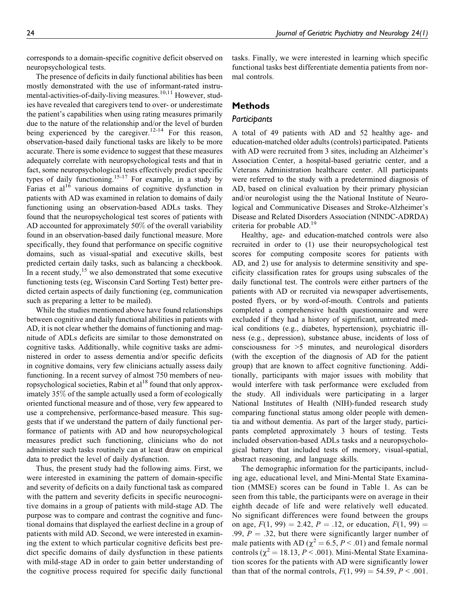corresponds to a domain-specific cognitive deficit observed on neuropsychological tests.

The presence of deficits in daily functional abilities has been mostly demonstrated with the use of informant-rated instrumental-activities-of-daily-living measures.<sup>10,11</sup> However, studies have revealed that caregivers tend to over- or underestimate the patient's capabilities when using rating measures primarily due to the nature of the relationship and/or the level of burden being experienced by the caregiver.<sup>12-14</sup> For this reason, observation-based daily functional tasks are likely to be more accurate. There is some evidence to suggest that these measures adequately correlate with neuropsychological tests and that in fact, some neuropsychological tests effectively predict specific types of daily functioning.15-17 For example, in a study by Farias et al<sup>16</sup> various domains of cognitive dysfunction in patients with AD was examined in relation to domains of daily functioning using an observation-based ADLs tasks. They found that the neuropsychological test scores of patients with AD accounted for approximately 50% of the overall variability found in an observation-based daily functional measure. More specifically, they found that performance on specific cognitive domains, such as visual-spatial and executive skills, best predicted certain daily tasks, such as balancing a checkbook. In a recent study, $15$  we also demonstrated that some executive functioning tests (eg, Wisconsin Card Sorting Test) better predicted certain aspects of daily functioning (eg, communication such as preparing a letter to be mailed).

While the studies mentioned above have found relationships between cognitive and daily functional abilities in patients with AD, it is not clear whether the domains of functioning and magnitude of ADLs deficits are similar to those demonstrated on cognitive tasks. Additionally, while cognitive tasks are administered in order to assess dementia and/or specific deficits in cognitive domains, very few clinicians actually assess daily functioning. In a recent survey of almost 750 members of neuropsychological societies, Rabin et  $al^{18}$  found that only approximately 35% of the sample actually used a form of ecologically oriented functional measure and of those, very few appeared to use a comprehensive, performance-based measure. This suggests that if we understand the pattern of daily functional performance of patients with AD and how neuropsychological measures predict such functioning, clinicians who do not administer such tasks routinely can at least draw on empirical data to predict the level of daily dysfunction.

Thus, the present study had the following aims. First, we were interested in examining the pattern of domain-specific and severity of deficits on a daily functional task as compared with the pattern and severity deficits in specific neurocognitive domains in a group of patients with mild-stage AD. The purpose was to compare and contrast the cognitive and functional domains that displayed the earliest decline in a group of patients with mild AD. Second, we were interested in examining the extent to which particular cognitive deficits best predict specific domains of daily dysfunction in these patients with mild-stage AD in order to gain better understanding of the cognitive process required for specific daily functional

tasks. Finally, we were interested in learning which specific functional tasks best differentiate dementia patients from normal controls.

# Methods

#### **Participants**

A total of 49 patients with AD and 52 healthy age- and education-matched older adults (controls) participated. Patients with AD were recruited from 3 sites, including an Alzheimer's Association Center, a hospital-based geriatric center, and a Veterans Administration healthcare center. All participants were referred to the study with a predetermined diagnosis of AD, based on clinical evaluation by their primary physician and/or neurologist using the the National Institute of Neurological and Communicative Diseases and Stroke-Alzheimer's Disease and Related Disorders Association (NINDC-ADRDA) criteria for probable AD.<sup>19</sup>

Healthy, age- and education-matched controls were also recruited in order to (1) use their neuropsychological test scores for computing composite scores for patients with AD, and 2) use for analysis to determine sensitivity and specificity classification rates for groups using subscales of the daily functional test. The controls were either partners of the patients with AD or recruited via newspaper advertisements, posted flyers, or by word-of-mouth. Controls and patients completed a comprehensive health questionnaire and were excluded if they had a history of significant, untreated medical conditions (e.g., diabetes, hypertension), psychiatric illness (e.g., depression), substance abuse, incidents of loss of consciousness for >5 minutes, and neurological disorders (with the exception of the diagnosis of AD for the patient group) that are known to affect cognitive functioning. Additionally, participants with major issues with mobility that would interfere with task performance were excluded from the study. All individuals were participating in a larger National Institutes of Health (NIH)-funded research study comparing functional status among older people with dementia and without dementia. As part of the larger study, participants completed approximately 3 hours of testing. Tests included observation-based ADLs tasks and a neuropsychological battery that included tests of memory, visual-spatial, abstract reasoning, and language skills.

The demographic information for the participants, including age, educational level, and Mini-Mental State Examination (MMSE) scores can be found in Table 1. As can be seen from this table, the participants were on average in their eighth decade of life and were relatively well educated. No significant differences were found between the groups on age,  $F(1, 99) = 2.42$ ,  $P = .12$ , or education,  $F(1, 99) =$ .99,  $P = .32$ , but there were significantly larger number of male patients with AD ( $\chi^2$  = 6.5, P < .01) and female normal controls ( $\chi^2$  = 18.13, P < .001). Mini-Mental State Examination scores for the patients with AD were significantly lower than that of the normal controls,  $F(1, 99) = 54.59$ ,  $P < .001$ .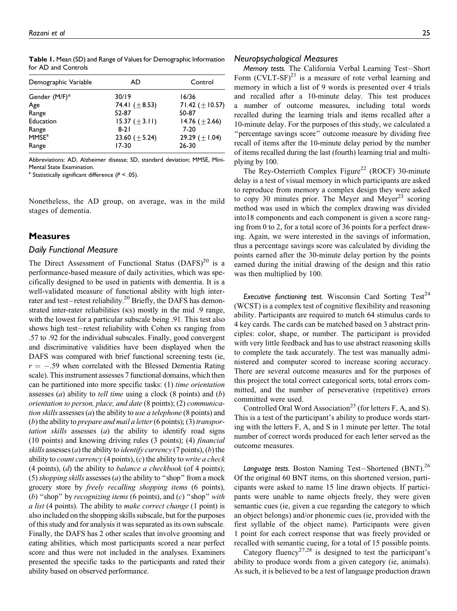Table 1. Mean (SD) and Range of Values for Demographic Information for AD and Controls

| Demographic Variable | AD                  | Control             |  |  |
|----------------------|---------------------|---------------------|--|--|
| Gender (M/F)*        | 30/19               | 16/36               |  |  |
| Age                  | 74.41 $(\pm 8.53)$  | 71.42 $(\pm 10.57)$ |  |  |
| Range                | 52-87               | 50-87               |  |  |
| Education            | 15.37 $(\pm 3.11)$  | 14.76 $(\pm 2.66)$  |  |  |
| Range                | $8-21$              | $7-20$              |  |  |
| MMSE <sup>a</sup>    | 23.60 ( $\pm$ 5.24) | 29.29 $(\pm 1.04)$  |  |  |
| Range                | $17-30$             | $26 - 30$           |  |  |

Abbreviations: AD, Alzheimer disease; SD, standard deviation; MMSE, Mini-Mental State Examination.

Statistically significant difference ( $P < .05$ ).

Nonetheless, the AD group, on average, was in the mild stages of dementia.

## Measures

## Daily Functional Measure

The Direct Assessment of Functional Status  $(DAFS)^{20}$  is a performance-based measure of daily activities, which was specifically designed to be used in patients with dementia. It is a well-validated measure of functional ability with high interrater and test-retest reliability.<sup>20</sup> Briefly, the DAFS has demonstrated inter-rater reliabilities (ks) mostly in the mid .9 range, with the lowest for a particular subscale being .91. This test also shows high test-retest reliability with Cohen ks ranging from .57 to .92 for the individual subscales. Finally, good convergent and discriminative validities have been displayed when the DAFS was compared with brief functional screening tests (ie,  $r = -.59$  when correlated with the Blessed Dementia Rating scale). This instrument assesses 7 functional domains, which then can be partitioned into more specific tasks: (1) time orientation assesses (*a*) ability to *tell time* using a clock  $(8 \text{ points})$  and  $(b)$ orientation to person, place, and date (8 points); (2) communication skills assesses (a) the ability to use a telephone (8 points) and (b) the ability to prepare and mail a letter (6 points); (3) transportation skills assesses (a) the ability to identify road signs (10 points) and knowing driving rules (3 points); (4) financial skills assesses (a) the ability to *identify currency* (7 points), (b) the ability to count currency (4 points),  $(c)$  the ability to write a check (4 points), (d) the ability to *balance a checkbook* (of 4 points); (5) shopping skills assesses (*a*) the ability to "shop" from a mock grocery store by freely recalling shopping items (6 points), (b) "shop" by recognizing items (6 points), and  $(c)$  "shop" with a list (4 points). The ability to make correct change  $(1 \text{ point})$  is also included on the shopping skills subscale, but for the purposes of this study and for analysis it was separated as its own subscale. Finally, the DAFS has 2 other scales that involve grooming and eating abilities, which most participants scored a near perfect score and thus were not included in the analyses. Examiners presented the specific tasks to the participants and rated their ability based on observed performance.

#### Neuropsychological Measures

Memory tests. The California Verbal Learning Test-Short Form  $(CVLT-SF)^{21}$  is a measure of rote verbal learning and memory in which a list of 9 words is presented over 4 trials and recalled after a 10-minute delay. This test produces a number of outcome measures, including total words recalled during the learning trials and items recalled after a 10-minute delay. For the purposes of this study, we calculated a "percentage savings score" outcome measure by dividing free recall of items after the 10-minute delay period by the number of items recalled during the last (fourth) learning trial and multiplying by 100.

The Rey-Osterrieth Complex Figure<sup>22</sup> (ROCF) 30-minute delay is a test of visual memory in which participants are asked to reproduce from memory a complex design they were asked to copy 30 minutes prior. The Meyer and Meyer<sup>23</sup> scoring method was used in which the complex drawing was divided into18 components and each component is given a score ranging from 0 to 2, for a total score of 36 points for a perfect drawing. Again, we were interested in the savings of information, thus a percentage savings score was calculated by dividing the points earned after the 30-minute delay portion by the points earned during the initial drawing of the design and this ratio was then multiplied by 100.

Executive functioning test. Wisconsin Card Sorting  $Test^{24}$ (WCST) is a complex test of cognitive flexibility and reasoning ability. Participants are required to match 64 stimulus cards to 4 key cards. The cards can be matched based on 3 abstract principles: color, shape, or number. The participant is provided with very little feedback and has to use abstract reasoning skills to complete the task accurately. The test was manually administered and computer scored to increase scoring accuracy. There are several outcome measures and for the purposes of this project the total correct categorical sorts, total errors committed, and the number of perseverative (repetitive) errors committed were used.

Controlled Oral Word Association<sup>25</sup> (for letters F, A, and S). This is a test of the participant's ability to produce words starting with the letters F, A, and S in 1 minute per letter. The total number of correct words produced for each letter served as the outcome measures.

Language tests. Boston Naming Test-Shortened (BNT).<sup>26</sup> Of the original 60 BNT items, on this shortened version, participants were asked to name 15 line drawn objects. If participants were unable to name objects freely, they were given semantic cues (ie, given a cue regarding the category to which an object belongs) and/or phonemic cues (ie, provided with the first syllable of the object name). Participants were given 1 point for each correct response that was freely provided or recalled with semantic cueing, for a total of 15 possible points.

Category fluency<sup>27,28</sup> is designed to test the participant's ability to produce words from a given category (ie, animals). As such, it is believed to be a test of language production drawn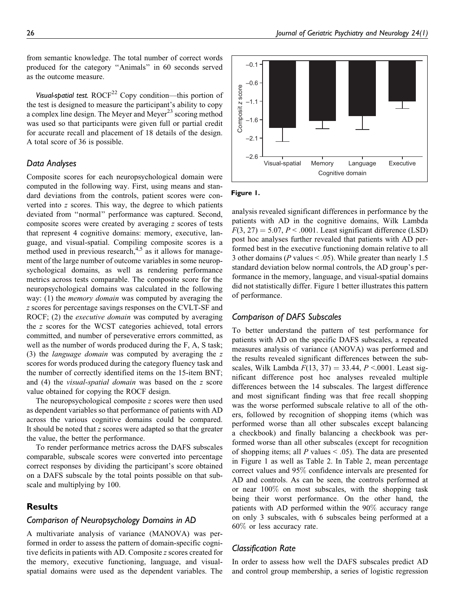from semantic knowledge. The total number of correct words produced for the category ''Animals'' in 60 seconds served as the outcome measure.

Visual-spatial test.  $ROCF^{22}$  Copy condition—this portion of the test is designed to measure the participant's ability to copy a complex line design. The Meyer and Meyer<sup>23</sup> scoring method was used so that participants were given full or partial credit for accurate recall and placement of 18 details of the design. A total score of 36 is possible.

#### Data Analyses

Composite scores for each neuropsychological domain were computed in the following way. First, using means and standard deviations from the controls, patient scores were converted into z scores. This way, the degree to which patients deviated from ''normal'' performance was captured. Second, composite scores were created by averaging z scores of tests that represent 4 cognitive domains: memory, executive, language, and visual-spatial. Compiling composite scores is a method used in previous research,  $4.5$  as it allows for management of the large number of outcome variables in some neuropsychological domains, as well as rendering performance metrics across tests comparable. The composite score for the neuropsychological domains was calculated in the following way: (1) the *memory domain* was computed by averaging the z scores for percentage savings responses on the CVLT-SF and ROCF; (2) the executive domain was computed by averaging the z scores for the WCST categories achieved, total errors committed, and number of perseverative errors committed, as well as the number of words produced during the F, A, S task; (3) the language domain was computed by averaging the z scores for words produced during the category fluency task and the number of correctly identified items on the 15-item BNT; and (4) the visual-spatial domain was based on the z score value obtained for copying the ROCF design.

The neuropsychological composite z scores were then used as dependent variables so that performance of patients with AD across the various cognitive domains could be compared. It should be noted that z scores were adapted so that the greater the value, the better the performance.

To render performance metrics across the DAFS subscales comparable, subscale scores were converted into percentage correct responses by dividing the participant's score obtained on a DAFS subscale by the total points possible on that subscale and multiplying by 100.

# **Results**

## Comparison of Neuropsychology Domains in AD

A multivariate analysis of variance (MANOVA) was performed in order to assess the pattern of domain-specific cognitive deficits in patients with AD. Composite z scores created for the memory, executive functioning, language, and visualspatial domains were used as the dependent variables. The



#### Figure 1.

analysis revealed significant differences in performance by the patients with AD in the cognitive domains, Wilk Lambda  $F(3, 27) = 5.07, P < .0001$ . Least significant difference (LSD) post hoc analyses further revealed that patients with AD performed best in the executive functioning domain relative to all 3 other domains (P values  $\leq$  .05). While greater than nearly 1.5 standard deviation below normal controls, the AD group's performance in the memory, language, and visual-spatial domains did not statistically differ. Figure 1 better illustrates this pattern of performance.

## Comparison of DAFS Subscales

To better understand the pattern of test performance for patients with AD on the specific DAFS subscales, a repeated measures analysis of variance (ANOVA) was performed and the results revealed significant differences between the subscales, Wilk Lambda  $F(13, 37) = 33.44, P < .0001$ . Least significant difference post hoc analyses revealed multiple differences between the 14 subscales. The largest difference and most significant finding was that free recall shopping was the worse performed subscale relative to all of the others, followed by recognition of shopping items (which was performed worse than all other subscales except balancing a checkbook) and finally balancing a checkbook was performed worse than all other subscales (except for recognition of shopping items; all P values  $\leq$  0.05). The data are presented in Figure 1 as well as Table 2. In Table 2, mean percentage correct values and 95% confidence intervals are presented for AD and controls. As can be seen, the controls performed at or near 100% on most subscales, with the shopping task being their worst performance. On the other hand, the patients with AD performed within the 90% accuracy range on only 3 subscales, with 6 subscales being performed at a 60% or less accuracy rate.

## Classification Rate

In order to assess how well the DAFS subscales predict AD and control group membership, a series of logistic regression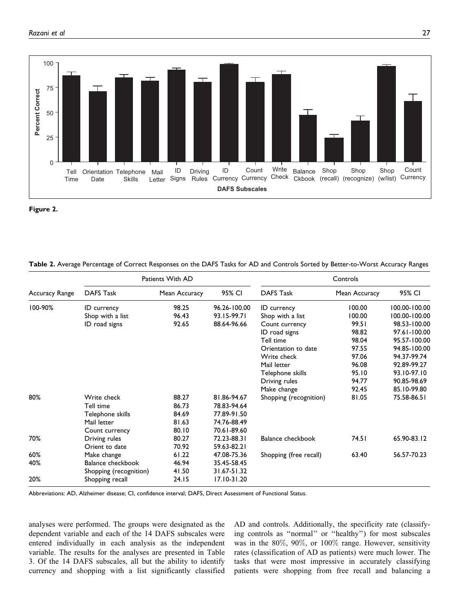

#### Figure 2.

|                | Patients With AD       |               |              | Controls               |               |               |
|----------------|------------------------|---------------|--------------|------------------------|---------------|---------------|
| Accuracy Range | <b>DAFS Task</b>       | Mean Accuracy | 95% CI       | <b>DAFS Task</b>       | Mean Accuracy | 95% CI        |
| 100-90%        | <b>ID</b> currency     | 98.25         | 96.26-100.00 | <b>ID</b> currency     | 100.00        | 100.00-100.00 |
|                | Shop with a list       | 96.43         | 93.15-99.71  | Shop with a list       | 100.00        | 100.00-100.00 |
|                | ID road signs          | 92.65         | 88.64-96.66  | Count currency         | 99.51         | 98.53-100.00  |
|                |                        |               |              | ID road signs          | 98.82         | 97.61-100.00  |
|                |                        |               |              | Tell time              | 98.04         | 95.57-100.00  |
|                |                        |               |              | Orientation to date    | 97.55         | 94.85-100.00  |
|                |                        |               |              | Write check            | 97.06         | 94.37-99.74   |
|                |                        |               |              | Mail letter            | 96.08         | 92.89-99.27   |
|                |                        |               |              | Telephone skills       | 95.10         | 93.10-97.10   |
|                |                        |               |              | Driving rules          | 94.77         | 90.85-98.69   |
|                |                        |               |              | Make change            | 92.45         | 85.10-99.80   |
| 80%            | Write check            | 88.27         | 81.86-94.67  | Shopping (recognition) | 81.05         | 75.58-86.51   |
|                | Tell time              | 86.73         | 78.83-94.64  |                        |               |               |
|                | Telephone skills       | 84.69         | 77.89-91.50  |                        |               |               |
|                | Mail letter            | 81.63         | 74.76-88.49  |                        |               |               |
|                | Count currency         | 80.10         | 70.61-89.60  |                        |               |               |
| 70%            | Driving rules          | 80.27         | 72.23-88.31  | Balance checkbook      | 74.51         | 65.90-83.12   |
|                | Orient to date         | 70.92         | 59.63-82.21  |                        |               |               |
| 60%            | Make change            | 61.22         | 47.08-75.36  | Shopping (free recall) | 63.40         | 56.57-70.23   |
| 40%            | Balance checkbook      | 46.94         | 35.45-58.45  |                        |               |               |
|                | Shopping (recognition) | 41.50         | 31.67-51.32  |                        |               |               |
| 20%            | Shopping recall        | 24.15         | 17.10-31.20  |                        |               |               |

Table 2. Average Percentage of Correct Responses on the DAFS Tasks for AD and Controls Sorted by Better-to-Worst Accuracy Ranges

Abbreviations: AD, Alzheimer disease; CI, confidence interval; DAFS, Direct Assessment of Functional Status.

analyses were performed. The groups were designated as the dependent variable and each of the 14 DAFS subscales were entered individually in each analysis as the independent variable. The results for the analyses are presented in Table 3. Of the 14 DAFS subscales, all but the ability to identify currency and shopping with a list significantly classified

AD and controls. Additionally, the specificity rate (classifying controls as ''normal'' or ''healthy'') for most subscales was in the 80%, 90%, or 100% range. However, sensitivity rates (classification of AD as patients) were much lower. The tasks that were most impressive in accurately classifying patients were shopping from free recall and balancing a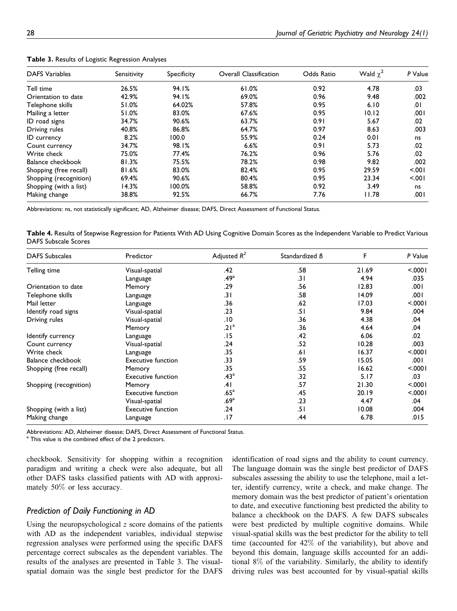| <b>DAFS Variables</b>  | Sensitivity | Specificity | <b>Overall Classification</b> | Odds Ratio | Wald $\chi^2$ | P Value |
|------------------------|-------------|-------------|-------------------------------|------------|---------------|---------|
| Tell time              | 26.5%       | 94.1%       | 61.0%                         | 0.92       | 4.78          | .03     |
| Orientation to date    | 42.9%       | 94.1%       | 69.0%                         | 0.96       | 9.48          | .002    |
| Telephone skills       | 51.0%       | 64.02%      | 57.8%                         | 0.95       | 6.10          | .01     |
| Mailing a letter       | 51.0%       | 83.0%       | 67.6%                         | 0.95       | 10.12         | .001    |
| ID road signs          | 34.7%       | 90.6%       | 63.7%                         | 0.91       | 5.67          | .02     |
| Driving rules          | 40.8%       | 86.8%       | 64.7%                         | 0.97       | 8.63          | .003    |
| ID currency            | 8.2%        | 100.0       | 55.9%                         | 0.24       | 0.01          | ns      |
| Count currency         | 34.7%       | 98.1%       | 6.6%                          | 0.91       | 5.73          | .02     |
| Write check            | 75.0%       | 77.4%       | 76.2%                         | 0.96       | 5.76          | .02     |
| Balance checkbook      | 81.3%       | 75.5%       | 78.2%                         | 0.98       | 9.82          | .002    |
| Shopping (free recall) | 81.6%       | 83.0%       | 82.4%                         | 0.95       | 29.59         | < 0.001 |
| Shopping (recognition) | 69.4%       | 90.6%       | 80.4%                         | 0.95       | 23.34         | < 0.001 |
| Shopping (with a list) | 14.3%       | 100.0%      | 58.8%                         | 0.92       | 3.49          | ns      |
| Making change          | 38.8%       | 92.5%       | 66.7%                         | 7.76       | 11.78         | .001    |

Table 3. Results of Logistic Regression Analyses

Abbreviations: ns, not statistically significant; AD, Alzheimer disease; DAFS, Direct Assessment of Functional Status.

Table 4. Results of Stepwise Regression for Patients With AD Using Cognitive Domain Scores as the Independent Variable to Predict Various DAFS Subscale Scores

| <b>DAFS</b> Subscales  | Predictor                 | Adjusted $R^2$   | Standardized B | F     | P Value |
|------------------------|---------------------------|------------------|----------------|-------|---------|
| Telling time           | Visual-spatial            | .42              | .58            | 21.69 | < 0001  |
|                        | Language                  | .49 <sup>a</sup> | .31            | 4.94  | .035    |
| Orientation to date    | Memory                    | .29              | .56            | 12.83 | .001    |
| Telephone skills       | Language                  | .31              | .58            | 14.09 | .001    |
| Mail letter            | Language                  | .36              | .62            | 17.03 | < 0001  |
| Identify road signs    | Visual-spatial            | .23              | .51            | 9.84  | .004    |
| Driving rules          | Visual-spatial            | 0١.              | .36            | 4.38  | .04     |
|                        | Memory                    | .21 <sup>a</sup> | .36            | 4.64  | .04     |
| Identify currency      | Language                  | .15              | .42            | 6.06  | .02     |
| Count currency         | Visual-spatial            | .24              | .52            | 10.28 | .003    |
| Write check            | Language                  | .35              | ا 6.           | 16.37 | < .0001 |
| Balance checkbook      | Executive function        | .33              | .59            | 15.05 | .001    |
| Shopping (free recall) | Memory                    | .35              | .55            | 16.62 | < 0001  |
|                        | Executive function        | .43 <sup>a</sup> | .32            | 5.17  | .03     |
| Shopping (recognition) | Memory                    | .41              | .57            | 21.30 | < 0001  |
|                        | Executive function        | .65 <sup>a</sup> | .45            | 20.19 | < 0001  |
|                        | Visual-spatial            | .69 <sup>a</sup> | .23            | 4.47  | .04     |
| Shopping (with a list) | <b>Executive function</b> | .24              | .51            | 10.08 | .004    |
| Making change          | Language                  | .17              | .44            | 6.78  | .015    |

Abbreviations: AD, Alzheimer disease; DAFS, Direct Assessment of Functional Status.

<sup>a</sup> This value is the combined effect of the 2 predictors.

checkbook. Sensitivity for shopping within a recognition paradigm and writing a check were also adequate, but all other DAFS tasks classified patients with AD with approximately 50% or less accuracy.

# Prediction of Daily Functioning in AD

Using the neuropsychological z score domains of the patients with AD as the independent variables, individual stepwise regression analyses were performed using the specific DAFS percentage correct subscales as the dependent variables. The results of the analyses are presented in Table 3. The visualspatial domain was the single best predictor for the DAFS

identification of road signs and the ability to count currency. The language domain was the single best predictor of DAFS subscales assessing the ability to use the telephone, mail a letter, identify currency, write a check, and make change. The memory domain was the best predictor of patient's orientation to date, and executive functioning best predicted the ability to balance a checkbook on the DAFS. A few DAFS subscales were best predicted by multiple cognitive domains. While visual-spatial skills was the best predictor for the ability to tell time (accounted for 42% of the variability), but above and beyond this domain, language skills accounted for an additional 8% of the variability. Similarly, the ability to identify driving rules was best accounted for by visual-spatial skills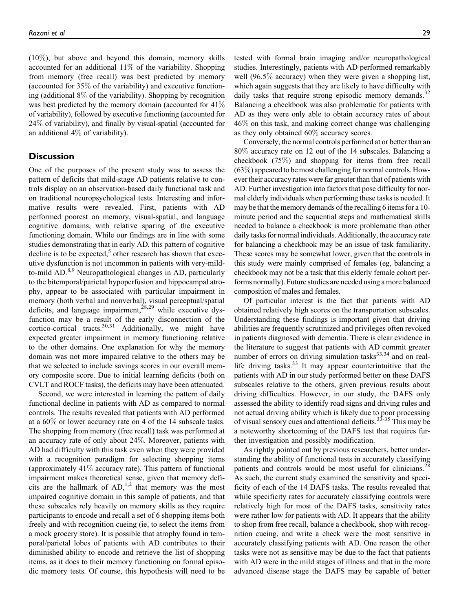(10%), but above and beyond this domain, memory skills accounted for an additional 11% of the variability. Shopping from memory (free recall) was best predicted by memory (accounted for 35% of the variability) and executive functioning (additional  $8\%$  of the variability). Shopping by recognition was best predicted by the memory domain (accounted for 41% of variability), followed by executive functioning (accounted for 24% of variability), and finally by visual-spatial (accounted for an additional 4% of variability).

# **Discussion**

One of the purposes of the present study was to assess the pattern of deficits that mild-stage AD patients relative to controls display on an observation-based daily functional task and on traditional neuropsychological tests. Interesting and informative results were revealed. First, patients with AD performed poorest on memory, visual-spatial, and language cognitive domains, with relative sparing of the executive functioning domain. While our findings are in line with some studies demonstrating that in early AD, this pattern of cognitive decline is to be expected,<sup>5</sup> other research has shown that executive dysfunction is not uncommon in patients with very-mildto-mild AD. $8,9$  Neuropathological changes in AD, particularly to the bitemporal/parietal hypoperfusion and hippocampal atrophy, appear to be associated with particular impairment in memory (both verbal and nonverbal), visual perceptual/spatial deficits, and language impairment,  $28,29$  while executive dysfunction may be a result of the early disconnection of the cortico-cortical tracts.<sup>30,31</sup> Additionally, we might have expected greater impairment in memory functioning relative to the other domains. One explanation for why the memory domain was not more impaired relative to the others may be that we selected to include savings scores in our overall memory composite score. Due to initial learning deficits (both on CVLT and ROCF tasks), the deficits may have been attenuated.

Second, we were interested in learning the pattern of daily functional decline in patients with AD as compared to normal controls. The results revealed that patients with AD performed at a 60% or lower accuracy rate on 4 of the 14 subscale tasks. The shopping from memory (free recall) task was performed at an accuracy rate of only about 24%. Moreover, patients with AD had difficulty with this task even when they were provided with a recognition paradigm for selecting shopping items (approximately  $41\%$  accuracy rate). This pattern of functional impairment makes theoretical sense, given that memory deficits are the hallmark of  $AD<sub>1</sub><sup>1,2</sup>$  that memory was the most impaired cognitive domain in this sample of patients, and that these subscales rely heavily on memory skills as they require participants to encode and recall a set of 6 shopping items both freely and with recognition cueing (ie, to select the items from a mock grocery store). It is possible that atrophy found in temporal/parietal lobes of patients with AD contributes to their diminished ability to encode and retrieve the list of shopping items, as it does to their memory functioning on formal episodic memory tests. Of course, this hypothesis will need to be tested with formal brain imaging and/or neuropathological studies. Interestingly, patients with AD performed remarkably well (96.5% accuracy) when they were given a shopping list, which again suggests that they are likely to have difficulty with daily tasks that require strong episodic memory demands.<sup>32</sup> Balancing a checkbook was also problematic for patients with AD as they were only able to obtain accuracy rates of about 46% on this task, and making correct change was challenging as they only obtained 60% accuracy scores.

Conversely, the normal controls performed at or better than an 80% accuracy rate on 12 out of the 14 subscales. Balancing a checkbook (75%) and shopping for items from free recall  $(63\%)$  appeared to be most challenging for normal controls. However their accuracy rates were far greater than that of patients with AD. Further investigation into factors that pose difficulty for normal elderly individuals when performing these tasks is needed. It may be that the memory demands of the recalling 6 items for a 10 minute period and the sequential steps and mathematical skills needed to balance a checkbook is more problematic than other daily tasks for normal individuals. Additionally, the accuracy rate for balancing a checkbook may be an issue of task familiarity. These scores may be somewhat lower, given that the controls in this study were mainly comprised of females (eg, balancing a checkbook may not be a task that this elderly female cohort performs normally). Future studies are needed using a more balanced composition of males and females.

Of particular interest is the fact that patients with AD obtained relatively high scores on the transportation subscales. Understanding these findings is important given that driving abilities are frequently scrutinized and privileges often revoked in patients diagnosed with dementia. There is clear evidence in the literature to suggest that patients with AD commit greater number of errors on driving simulation tasks $33,34$  and on reallife driving tasks.<sup>33</sup> It may appear counterintuitive that the patients with AD in our study performed better on these DAFS subscales relative to the others, given previous results about driving difficulties. However, in our study, the DAFS only assessed the ability to identify road signs and driving rules and not actual driving ability which is likely due to poor processing of visual sensory cues and attentional deficits.<sup>33-35</sup> This may be a noteworthy shortcoming of the DAFS test that requires further investigation and possibly modification.

As rightly pointed out by previous researchers, better understanding the ability of functional tests in accurately classifying patients and controls would be most useful for clinicians.<sup>28</sup> As such, the current study examined the sensitivity and specificity of each of the 14 DAFS tasks. The results revealed that while specificity rates for accurately classifying controls were relatively high for most of the DAFS tasks, sensitivity rates were rather low for patients with AD. It appears that the ability to shop from free recall, balance a checkbook, shop with recognition cueing, and write a check were the most sensitive in accurately classifying patients with AD. One reason the other tasks were not as sensitive may be due to the fact that patients with AD were in the mild stages of illness and that in the more advanced disease stage the DAFS may be capable of better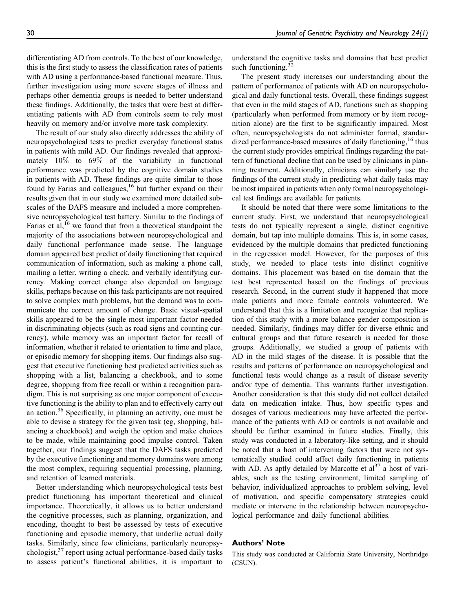differentiating AD from controls. To the best of our knowledge, this is the first study to assess the classification rates of patients with AD using a performance-based functional measure. Thus, further investigation using more severe stages of illness and perhaps other dementia groups is needed to better understand these findings. Additionally, the tasks that were best at differentiating patients with AD from controls seem to rely most heavily on memory and/or involve more task complexity.

The result of our study also directly addresses the ability of neuropsychological tests to predict everyday functional status in patients with mild AD. Our findings revealed that approximately 10% to 69% of the variability in functional performance was predicted by the cognitive domain studies in patients with AD. These findings are quite similar to those found by Farias and colleagues,  $16$  but further expand on their results given that in our study we examined more detailed subscales of the DAFS measure and included a more comprehensive neuropsychological test battery. Similar to the findings of Farias et al, $16$  we found that from a theoretical standpoint the majority of the associations between neuropsychological and daily functional performance made sense. The language domain appeared best predict of daily functioning that required communication of information, such as making a phone call, mailing a letter, writing a check, and verbally identifying currency. Making correct change also depended on language skills, perhaps because on this task participants are not required to solve complex math problems, but the demand was to communicate the correct amount of change. Basic visual-spatial skills appeared to be the single most important factor needed in discriminating objects (such as road signs and counting currency), while memory was an important factor for recall of information, whether it related to orientation to time and place, or episodic memory for shopping items. Our findings also suggest that executive functioning best predicted activities such as shopping with a list, balancing a checkbook, and to some degree, shopping from free recall or within a recognition paradigm. This is not surprising as one major component of executive functioning is the ability to plan and to effectively carry out an action.<sup>36</sup> Specifically, in planning an activity, one must be able to devise a strategy for the given task (eg, shopping, balancing a checkbook) and weigh the option and make choices to be made, while maintaining good impulse control. Taken together, our findings suggest that the DAFS tasks predicted by the executive functioning and memory domains were among the most complex, requiring sequential processing, planning, and retention of learned materials.

Better understanding which neuropsychological tests best predict functioning has important theoretical and clinical importance. Theoretically, it allows us to better understand the cognitive processes, such as planning, organization, and encoding, thought to best be assessed by tests of executive functioning and episodic memory, that underlie actual daily tasks. Similarly, since few clinicians, particularly neuropsychologist, $37$  report using actual performance-based daily tasks to assess patient's functional abilities, it is important to understand the cognitive tasks and domains that best predict such functioning. $32$ 

The present study increases our understanding about the pattern of performance of patients with AD on neuropsychological and daily functional tests. Overall, these findings suggest that even in the mild stages of AD, functions such as shopping (particularly when performed from memory or by item recognition alone) are the first to be significantly impaired. Most often, neuropsychologists do not administer formal, standardized performance-based measures of daily functioning,  $16$  thus the current study provides empirical findings regarding the pattern of functional decline that can be used by clinicians in planning treatment. Additionally, clinicians can similarly use the findings of the current study in predicting what daily tasks may be most impaired in patients when only formal neuropsychological test findings are available for patients.

It should be noted that there were some limitations to the current study. First, we understand that neuropsychological tests do not typically represent a single, distinct cognitive domain, but tap into multiple domains. This is, in some cases, evidenced by the multiple domains that predicted functioning in the regression model. However, for the purposes of this study, we needed to place tests into distinct cognitive domains. This placement was based on the domain that the test best represented based on the findings of previous research. Second, in the current study it happened that more male patients and more female controls volunteered. We understand that this is a limitation and recognize that replication of this study with a more balance gender composition is needed. Similarly, findings may differ for diverse ethnic and cultural groups and that future research is needed for those groups. Additionally, we studied a group of patients with AD in the mild stages of the disease. It is possible that the results and patterns of performance on neuropsychological and functional tests would change as a result of disease severity and/or type of dementia. This warrants further investigation. Another consideration is that this study did not collect detailed data on medication intake. Thus, how specific types and dosages of various medications may have affected the performance of the patients with AD or controls is not available and should be further examined in future studies. Finally, this study was conducted in a laboratory-like setting, and it should be noted that a host of intervening factors that were not systematically studied could affect daily functioning in patients with AD. As aptly detailed by Marcotte et  $al<sup>37</sup>$  a host of variables, such as the testing environment, limited sampling of behavior, individualized approaches to problem solving, level of motivation, and specific compensatory strategies could mediate or intervene in the relationship between neuropsychological performance and daily functional abilities.

#### Authors' Note

This study was conducted at California State University, Northridge (CSUN).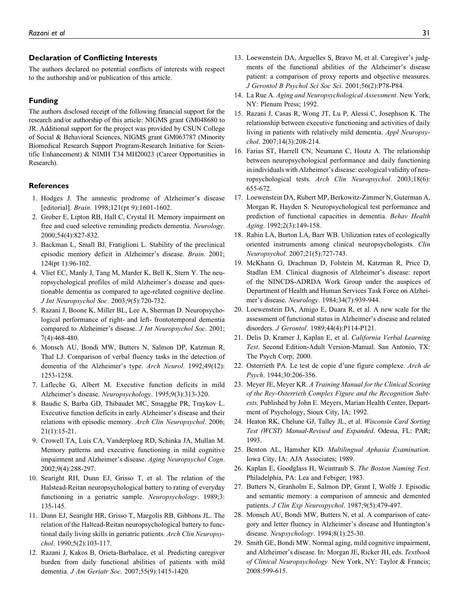#### Declaration of Conflicting Interests

The authors declared no potential conflicts of interests with respect to the authorship and/or publication of this article.

#### Funding

The authors disclosed receipt of the following financial support for the research and/or authorship of this article: NIGMS grant GM048680 to JR. Additional support for the project was provided by CSUN College of Social & Behavioral Sciences, NIGMS grant GM063787 (Minority Biomedical Research Support Program-Research Initiative for Scientific Enhancement) & NIMH T34 MH20023 (Career Opportunities in Research).

#### **References**

- 1. Hodges J. The amnestic prodrome of Alzheimer's disease [editorial]. Brain. 1998;121(pt 9):1601-1602.
- 2. Grober E, Lipton RB, Hall C, Crystal H. Memory impairment on free and cued selective reminding predicts dementia. Neurology. 2000;54(4):827-832.
- 3. Backman L, Small BJ, Fratiglioni L. Stability of the preclinical episodic memory deficit in Alzheimer's disease. Brain. 2001; 124(pt 1):96-102.
- 4. Vliet EC, Manly J, Tang M, Marder K, Bell K, Stern Y. The neuropsychological profiles of mild Alzheimer's disease and questionable dementia as compared to age-related cognitive decline. J Int Neuropsychol Soc. 2003;9(5):720-732.
- 5. Razani J, Boone K, Miller BL, Lee A, Sherman D. Neuropsychological performance of right- and left- frontotemporal dementia compared to Alzheimer's disease. J Int Neuropsychol Soc. 2001; 7(4):468-480.
- 6. Monsch AU, Bondi MW, Butters N, Salmon DP, Katzman R, Thal LJ. Comparison of verbal fluency tasks in the detection of dementia of the Alzheimer's type. Arch Neurol. 1992;49(12): 1253-1258.
- 7. Lafleche G, Albert M. Executive function deficits in mild Alzheimer's disease. Neuropsychology. 1995;9(3):313-320.
- 8. Baudic S, Barba GD, Thibaudet MC, Smagghe PR, Traykov L. Executive function deficits in early Alzheimer's disease and their relations with episodic memory. Arch Clin Neuropsychol. 2006; 21(1):15-21.
- 9. Crowell TA, Luis CA, Vanderploeg RD, Schinka JA, Mullan M. Memory patterns and executive functioning in mild cognitive impairment and Alzheimer's disease. Aging Neuropsychol Cogn. 2002;9(4):288-297.
- 10. Searight RH, Dunn EJ, Grisso T, et al. The relation of the Halstead-Reitan neuropsychological battery to rating of everyday functioning in a geriatric sample. Neuropsychology. 1989;3: 135-145.
- 11. Dunn EJ, Searight HR, Grisso T, Margolis RB, Gibbons JL. The relation of the Haltead-Reitan neuropsychological battery to functional daily living skills in geriatric patients. Arch Clin Neuropsychol. 1990;5(2):103-117.
- 12. Razani J, Kakos B, Orieta-Barbalace, et al. Predicting caregiver burden from daily functional abilities of patients with mild dementia. J Am Geriatr Soc. 2007;55(9):1415-1420.
- 13. Loewenstein DA, Arguelles S, Bravo M, et al. Caregiver's judgments of the functional abilities of the Alzheimer's disease patient: a comparison of proxy reports and objective measures. J Gerontol B Psychol Sci Soc Sci. 2001;56(2):P78-P84.
- 14. La Rue A. Aging and Neuropsychological Assessment. New York, NY: Plenum Press; 1992.
- 15. Razani J, Casas R, Wong JT, Lu P, Alessi C, Josephson K. The relationship between executive functioning and activities of daily living in patients with relatively mild dementia. Appl Neuropsychol. 2007;14(3):208-214.
- 16. Farias ST, Harrell CN, Neumann C, Houtz A. The relationship between neuropsychological performance and daily functioning in individuals with Alzheimer's disease: ecological validity of neuropsychological tests. Arch Clin Neuropsychol. 2003;18(6): 655-672.
- 17. Loewenstein DA, Rubert MP, Berkowitz-Zimmer N, Guterman A, Morgan R, Hayden S. Neuropsychological test performance and prediction of functional capacities in dementia. Behav Health Aging. 1992;2(3):149-158.
- 18. Rabin LA, Burton LA, Barr WB. Utilization rates of ecologically oriented instruments among clinical neuropsychologists. Clin Neuropsychol. 2007;21(5):727-743.
- 19. McKhann G, Drachman D, Folstein M, Katzman R, Price D, Stadlan EM. Clinical diagnosis of Alzheimer's disease: report of the NINCDS-ADRDA Work Group under the auspices of Department of Health and Human Services Task Force on Alzheimer's disease. Neurology. 1984;34(7):939-944.
- 20. Loewenstein DA, Amigo E, Duara R, et al. A new scale for the assessment of functional status in Alzheimer's disease and related disorders. J Gerontol. 1989;44(4):P114-P121.
- 21. Delis D, Kramer J, Kaplan E, et al. California Verbal Learning Test. Second Edition-Adult Version-Manual. San Antonio, TX: The Psych Corp; 2000.
- 22. Osterrieth PA. Le test de copie d'une figure complexe. Arch de Psych. 1944;30:206-356.
- 23. Meyer JE, Meyer KR. A Training Manual for the Clinical Scoring of the Rey-Osterrieth Complex Figure and the Recognition Subtests. Published by John E. Meyers, Marian Health Center, Department of Psychology, Sioux City, IA; 1992.
- 24. Heaton RK, Chelune GJ, Talley JL, et al. Wisconsin Card Sorting Test (WCST) Manual-Revised and Expanded. Odessa, FL: PAR; 1993.
- 25. Benton AL, Hamsher KD. Multilingual Aphasia Examination. Iowa City, IA: AJA Associates; 1989.
- 26. Kaplan E, Goodglass H, Weintraub S. The Boston Naming Test. Philadelphia, PA: Lea and Febiger; 1983.
- 27. Butters N, Granholm E, Salmon DP, Grant I, Wolfe J. Episodic and semantic memory: a comparison of amnesic and demented patients. J Clin Exp Neurospychol. 1987;9(5):479-497.
- 28. Monsch AU, Bondi MW, Butters N, et al. A comparison of category and letter fluency in Alzheimer's disease and Huntington's disease. Neupsychology. 1994;8(1):25-30.
- 29. Smith GE, Bondi MW. Normal aging, mild cognitive impairment, and Alzheimer's disease. In: Morgan JE, Ricker JH, eds. Textbook of Clinical Neuropsychology. New York, NY: Taylor & Francis; 2008:599-615.